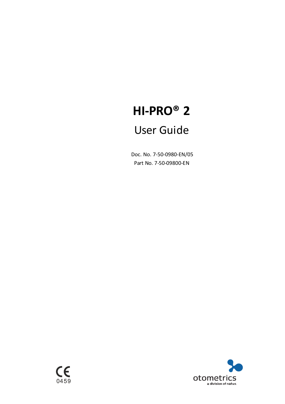# **HI-PRO® 2**

## User Guide

Doc. No. 7-50-0980-EN/05 Part No. 7-50-09800-EN

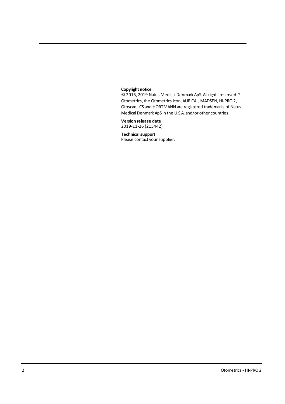#### **Copyright notice**

© 2015, 2019 Natus Medical Denmark ApS. All rights reserved. ® Otometrics, the Otometrics Icon, AURICAL, MADSEN, HI-PRO 2, Otoscan, ICS and HORTMANN are registered trademarks of Natus Medical Denmark ApS in the U.S.A. and/or other countries.

**Version release date** 2019-11-26 (215442)

#### **Technicalsupport**

Please contact your supplier.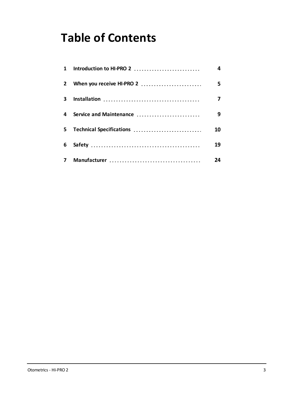# **Table of Contents**

| $\mathbf{1}$ | Introduction to HI-PRO 2  | 4  |
|--------------|---------------------------|----|
| $\mathbf{2}$ | When you receive HI-PRO 2 | 5  |
| 3.           |                           | 7  |
| 4            | Service and Maintenance   | 9  |
| 5.           | Technical Specifications  | 10 |
| 6            |                           | 19 |
| 7            |                           | 24 |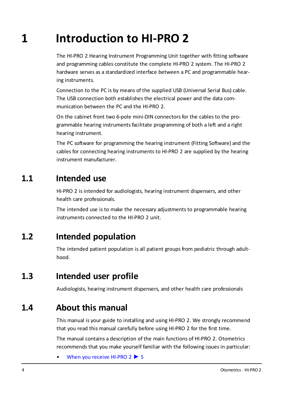# **1 Introduction to HI-PRO 2**

<span id="page-3-0"></span>The HI-PRO 2 Hearing Instrument Programming Unit together with fitting software and programming cables constitute the complete HI-PRO 2 system. The HI-PRO 2 hardware serves as a standardized interface between a PC and programmable hearing instruments.

Connection to the PC is by means of the supplied USB (Universal Serial Bus) cable. The USB connection both establishes the electrical power and the data communication between the PC and the HI-PRO 2.

On the cabinet front two 6-pole mini-DIN connectors for the cables to the programmable hearing instruments facilitate programming of both a left and a right hearing instrument.

The PC software for programming the hearing instrument (Fitting Software) and the cables for connecting hearing instruments to HI-PRO 2 are supplied by the hearing instrument manufacturer.

## **1.1 Intended use**

HI-PRO 2 is intended for audiologists, hearing instrument dispensers, and other health care professionals.

The intended use is to make the necessary adjustments to programmable hearing instruments connected to the HI-PRO 2 unit.

## **1.2 Intended population**

The intended patient population is all patient groups from pediatric through adulthood.

## **1.3 Intended user profile**

Audiologists, hearing instrument dispensers, and other health care professionals

## **1.4 About this manual**

This manual is your guide to installing and using HI-PRO 2. We strongly recommend that you read this manual carefully before using HI-PRO 2 for the first time.

The manual contains a description of the main functions of HI-PRO 2. Otometrics recommends that you make yourself familiar with the following issues in particular:

• When you receive [HI-PRO 2](#page-4-0) ► 5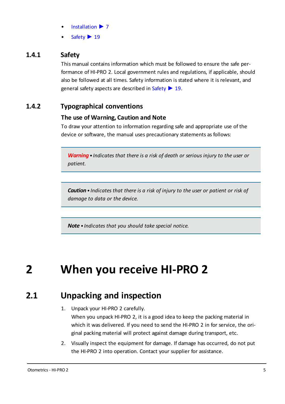- [Installation](#page-6-0) ► 7
- [Safety](#page-18-0) ► 19

#### **1.4.1 Safety**

This manual contains information which must be followed to ensure the safe performance of HI-PRO 2. Local government rules and regulations, if applicable, should also be followed at all times. Safety information is stated where it is relevant, and general safety aspects are described in [Safety](#page-18-0) ► 19.

#### **1.4.2 Typographical conventions**

#### **The use of Warning, Caution and Note**

To draw your attention to information regarding safe and appropriate use of the device or software, the manual uses precautionary statements as follows:

*Warning• Indicates that there is a risk of death or serious injury to the user or patient.*

*Caution• Indicates that there is a risk of injury to the user or patient or risk of damage to data or the device.*

<span id="page-4-0"></span>*Note • Indicates that you should take special notice.*

# **2 When you receive HI-PRO 2**

## **2.1 Unpacking and inspection**

- 1. Unpack your HI-PRO 2 carefully. When you unpack HI-PRO 2, it is a good idea to keep the packing material in which it was delivered. If you need to send the HI-PRO 2 in for service, the original packing material will protect against damage during transport, etc.
- 2. Visually inspect the equipment for damage. If damage has occurred, do not put the HI-PRO 2 into operation. Contact your supplier for assistance.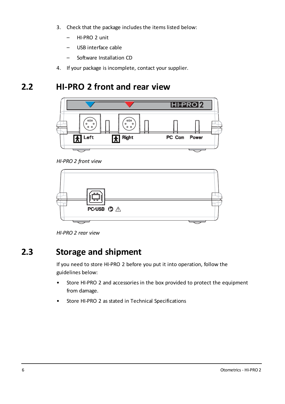- 3. Check that the package includes the items listed below:
	- HI-PRO 2 unit
	- USB interface cable
	- Software Installation CD
- 4. If your package is incomplete, contact your supplier.

## **2.2 HI-PRO 2 front and rear view**



*HI-PRO 2 front view*



*HI-PRO 2 rear view*

## **2.3 Storage and shipment**

If you need to store HI-PRO 2 before you put it into operation, follow the guidelines below:

- Store HI-PRO 2 and accessories in the box provided to protect the equipment from damage.
- Store HI-PRO 2 as stated in Technical Specifications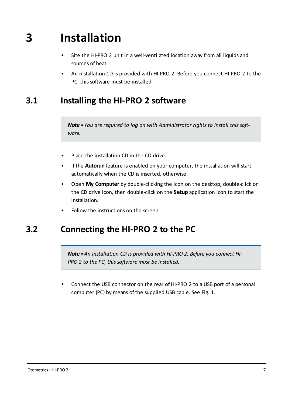# **3 Installation**

- <span id="page-6-0"></span>Site the HI-PRO 2 unit in a well-ventilated location away from all liquids and sources of heat.
- An installation CD is provided with HI-PRO 2. Before you connect HI-PRO 2 to the PC, this software must be installed.

## **3.1 Installing the HI-PRO 2 software**

*Note • You are required to log on with Administrator rights to install this software.*

- Place the installation CD in the CD drive.
- If the **Autorun** feature is enabled on your computer, the installation will start automatically when the CD is inserted, otherwise
- Open **My Computer** by double-clicking the icon on the desktop, double-click on the CD drive icon, then double-click on the **Setup** application icon to start the installation.
- Follow the instructions on the screen.

## **3.2 Connecting the HI-PRO 2 to the PC**

*Note •An installation CD is provided with HI-PRO 2. Before you connect HI-PRO 2 to the PC, this software must be installed.*

• Connect the USB connector on the rear of HI-PRO 2 to a USB port of a personal computer (PC) by means of the supplied USB cable. See Fig. 1.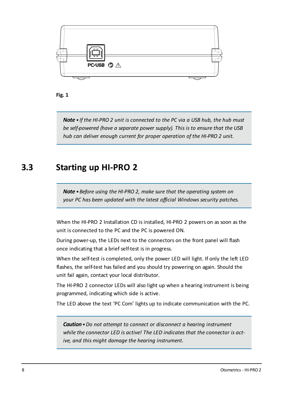



*Note • If the HI-PRO 2 unit is connected to the PC via a USB hub, the hub must be self-powered (have a separate power supply). This is to ensure that the USB hub can deliver enough current for proper operation of the HI-PRO 2 unit.*

## **3.3 Starting up HI-PRO 2**

*Note •Before using the HI-PRO 2, make sure that the operating system on your PC has been updated with the latest official Windows security patches.*

When the HI-PRO 2 Installation CD is installed, HI-PRO 2 powers on as soon as the unit is connected to the PC and the PC is powered ON.

During power-up, the LEDs next to the connectors on the front panel will flash once indicating that a brief self-test is in progress.

When the self-test is completed, only the power LED will light. If only the left LED flashes, the self-test has failed and you should try powering on again. Should the unit fail again, contact your local distributor.

The HI-PRO 2 connector LEDs will also light up when a hearing instrument is being programmed, indicating which side is active.

The LED above the text 'PC Com' lights up to indicate communication with the PC.

*Caution•Do not attempt to connect or disconnect a hearing instrument while the connector LED is active! The LED indicates that the connector is active, and this might damage the hearing instrument.*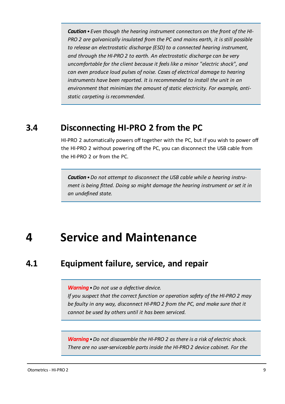*Caution• Even though the hearing instrument connectors on the front of the HI-PRO 2 are galvanically insulated from the PC and mains earth, it is still possible to release an electrostatic discharge (ESD) to a connected hearing instrument, and through the HI-PRO 2 to earth. An electrostatic discharge can be very uncomfortable for the client because it feels like a minor "electric shock", and can even produce loud pulses of noise. Cases of electrical damage to hearing instruments have been reported. It is recommended to install the unit in an environment that minimizes the amount of static electricity. For example, antistatic carpeting is recommended.*

## **3.4 Disconnecting HI-PRO 2 from the PC**

HI-PRO 2 automatically powers off together with the PC, but if you wish to power off the HI-PRO 2 without powering off the PC, you can disconnect the USB cable from the HI-PRO 2 or from the PC.

*Caution•Do not attempt to disconnect the USB cable while a hearing instrument is being fitted. Doing so might damage the hearing instrument or set it in an undefined state.*

## <span id="page-8-0"></span>**4 Service and Maintenance**

## **4.1 Equipment failure, service, and repair**

*Warning•Do not use a defective device.*

*If you suspect that the correct function or operation safety of the HI-PRO 2 may be faulty in any way, disconnect HI-PRO 2 from the PC, and make sure that it cannot be used by others until it has been serviced.*

*Warning•Do not disassemble the HI-PRO 2 as there is a risk of electric shock. There are no user-serviceable parts inside the HI-PRO 2 device cabinet. For the*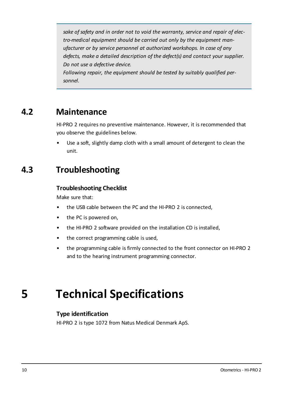*sake of safety and in order not to void the warranty, service and repair of electro-medical equipment should be carried out only by the equipment manufacturer or by service personnel at authorized workshops. In case of any defects, make a detailed description of the defect(s) and contact your supplier. Do not use a defective device. Following repair, the equipment should be tested by suitably qualified personnel.*

## **4.2 Maintenance**

HI-PRO 2 requires no preventive maintenance. However, it is recommended that you observe the guidelines below.

Use a soft, slightly damp cloth with a small amount of detergent to clean the unit.

## **4.3 Troubleshooting**

#### **Troubleshooting Checklist**

Make sure that:

- the USB cable between the PC and the HI-PRO 2 is connected,
- the PC is powered on,
- the HI-PRO 2 software provided on the installation CD is installed,
- the correct programming cable is used,
- <span id="page-9-0"></span>• the programming cable is firmly connected to the front connector on HI-PRO 2 and to the hearing instrument programming connector.

# **5 Technical Specifications**

#### **Type identification**

HI-PRO 2 is type 1072 from Natus Medical Denmark ApS.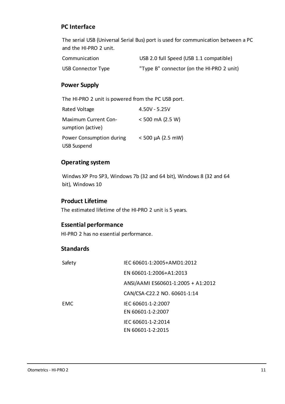#### **PC Interface**

The serial USB (Universal Serial Bus) port is used for communication between a PC and the HI-PRO 2 unit.

| Communication             | USB 2.0 full Speed (USB 1.1 compatible)   |
|---------------------------|-------------------------------------------|
| <b>USB Connector Type</b> | "Type B" connector (on the HI-PRO 2 unit) |

#### **Power Supply**

The HI-PRO 2 unit is powered from the PC USB port.

| Rated Voltage                             | $4.50V - 5.25V$        |
|-------------------------------------------|------------------------|
| Maximum Current Con-<br>sumption (active) | $< 500$ mA (2.5 W)     |
| Power Consumption during                  | $< 500 \mu A$ (2.5 mW) |
| <b>USB Suspend</b>                        |                        |

#### **Operating system**

Windws XP Pro SP3, Windows 7b (32 and 64 bit), Windows 8 (32 and 64 bit), Windows 10

#### **Product Lifetime**

The estimated lifetime of the HI-PRO 2 unit is 5 years.

#### **Essential performance**

HI-PRO 2 has no essential performance.

#### **Standards**

| Safety     | IEC 60601-1:2005+AMD1:2012         |
|------------|------------------------------------|
|            | EN 60601-1:2006+A1:2013            |
|            | ANSI/AAMI ES60601-1:2005 + A1:2012 |
|            | CAN/CSA-C22.2 NO. 60601-1:14       |
| <b>FMC</b> | IEC 60601-1-2:2007                 |
|            | EN 60601-1-2:2007                  |
|            | IEC 60601-1-2:2014                 |
|            | EN 60601-1-2:2015                  |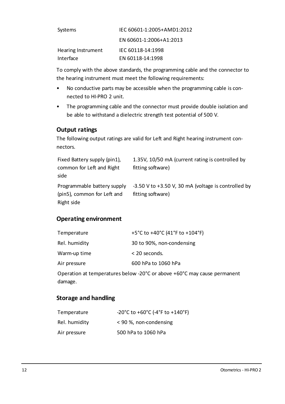| Systems            | IEC 60601-1:2005+AMD1:2012 |
|--------------------|----------------------------|
|                    | EN 60601-1:2006+A1:2013    |
| Hearing Instrument | IEC 60118-14:1998          |
| Interface          | EN 60118-14:1998           |

To comply with the above standards, the programming cable and the connector to the hearing instrument must meet the following requirements:

- No conductive parts may be accessible when the programming cable is connected to HI-PRO 2 unit.
- The programming cable and the connector must provide double isolation and be able to withstand a dielectric strength test potential of 500 V.

#### **Output ratings**

The following output ratings are valid for Left and Right hearing instrument connectors.

| Fixed Battery supply (pin1),                               | 1.35V, 10/50 mA (current rating is controlled by                             |
|------------------------------------------------------------|------------------------------------------------------------------------------|
| common for Left and Right                                  | fitting software)                                                            |
| side                                                       |                                                                              |
| Programmable battery supply<br>(pin5), common for Left and | $-3.50$ V to $+3.50$ V, 30 mA (voltage is controlled by<br>fitting software) |
| Right side                                                 |                                                                              |

#### **Operating environment**

| Temperature   | +5°C to +40°C (41°F to +104°F) |
|---------------|--------------------------------|
| Rel. humidity | 30 to 90%, non-condensing      |
| Warm-up time  | $<$ 20 seconds.                |
| Air pressure  | 600 hPa to 1060 hPa            |

Operation at temperatures below -20°C or above +60°C may cause permanent damage.

#### **Storage and handling**

| Temperature   | -20°C to +60°C (-4°F to +140°F) |
|---------------|---------------------------------|
| Rel. humidity | < 90 %, non-condensing          |
| Air pressure  | 500 hPa to 1060 hPa             |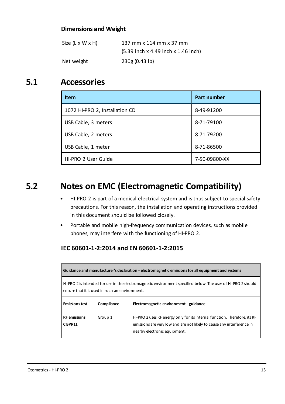#### **Dimensions and Weight**

| Size (L x W x H) | 137 mm x 114 mm x 37 mm               |
|------------------|---------------------------------------|
|                  | $(5.39$ inch x 4.49 inch x 1.46 inch) |
| Net weight       | 230g(0.43 lb)                         |

## **5.1 Accessories**

| <b>Item</b>                    | <b>Part number</b> |
|--------------------------------|--------------------|
| 1072 HI-PRO 2, Installation CD | 8-49-91200         |
| USB Cable, 3 meters            | 8-71-79100         |
| USB Cable, 2 meters            | 8-71-79200         |
| USB Cable, 1 meter             | 8-71-86500         |
| HI-PRO 2 User Guide            | 7-50-09800-XX      |

## **5.2 Notes on EMC (Electromagnetic Compatibility)**

- HI-PRO 2 is part of a medical electrical system and is thus subject to special safety precautions. For this reason, the installation and operating instructions provided in this document should be followed closely.
- Portable and mobile high-frequency communication devices, such as mobile phones, may interfere with the functioning of HI-PRO 2.

#### **IEC 60601-1-2:2014 and EN 60601-1-2:2015**

|                                                                                                                                                                |            | Guidance and manufacturer's declaration - electromagnetic emissions for all equipment and systems                                                                                   |
|----------------------------------------------------------------------------------------------------------------------------------------------------------------|------------|-------------------------------------------------------------------------------------------------------------------------------------------------------------------------------------|
| HI-PRO 2 is intended for use in the electromagnetic environment specified below. The user of HI-PRO 2 should<br>ensure that it is used in such an environment. |            |                                                                                                                                                                                     |
| <b>Emissions test</b>                                                                                                                                          | Compliance | Electromagnetic environment - guidance                                                                                                                                              |
| <b>RF</b> emissions<br>CISPR11                                                                                                                                 | Group 1    | HI-PRO 2 uses RF energy only for its internal function. Therefore, its RF<br>emissions are very low and are not likely to cause any interference in<br>nearby electronic equipment. |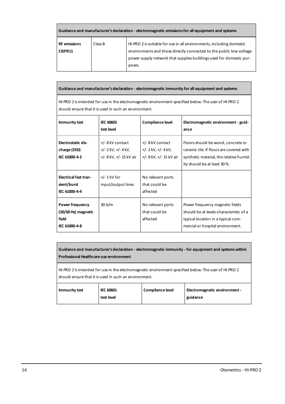| Guidance and manufacturer's declaration - electromagnetic emissions for all equipment and systems |         |                                                                                                                                                                                                                              |
|---------------------------------------------------------------------------------------------------|---------|------------------------------------------------------------------------------------------------------------------------------------------------------------------------------------------------------------------------------|
| <b>RF</b> emissions<br>CISPR11                                                                    | Class B | HI-PRO 2 is suitable for use in all environments, including domestic<br>environments and those directly connected to the public low-voltage<br>power supply network that supplies buildings used for domestic pur-<br>poses. |

**Guidance and manufacturer's declaration - electromagnetic immunity for all equipment and systems**

HI-PRO 2 isintended for use in the electromagnetic environment specified below. The user of HI-PRO 2 should ensure that it is used in such an environment.

| <b>Immunity test</b>                                             | <b>IEC 60601</b><br>test level                                         | Compliance level                                                     | Electromagnetic environment - guid-<br>ance                                                                                                              |
|------------------------------------------------------------------|------------------------------------------------------------------------|----------------------------------------------------------------------|----------------------------------------------------------------------------------------------------------------------------------------------------------|
| Electrostatic dis-<br>charge (ESD)<br>IEC 61000-4-2              | +/- 8 kV contact<br>$+/- 2$ kV, $+/- 4$ kV,<br>+/- 8 kV, +/- 15 kV air | +/-8kV contact<br>$+/- 2$ kV, $+/- 4$ kV,<br>+/- 8 kV, +/- 15 kV air | Floors should be wood, concrete or<br>ceramic tile. If floors are covered with<br>synthetic material, the relative humid-<br>ity should be at least 30%. |
| <b>Electrical fast tran-</b><br>sient/burst<br>IEC 61000-4-4     | $+/- 1$ kV for<br>input/output lines                                   | No relevant ports<br>that could be<br>affected                       |                                                                                                                                                          |
| Power frequency<br>(50/60 Hz) magnetic<br>field<br>IEC 61000-4-8 | 30 A/m                                                                 | No relevant ports<br>that could be<br>affected                       | Power frequency magnetic fields<br>should be at levels characteristic of a<br>typical location in a typical com-<br>mercial or hospital environment.     |

| Guidance and manufacturer's declaration - electromagnetic immunity - for equipment and systems within<br>Professional Healthcare use environment               |                                |                  |                                           |
|----------------------------------------------------------------------------------------------------------------------------------------------------------------|--------------------------------|------------------|-------------------------------------------|
| HI-PRO 2 is intended for use in the electromagnetic environment specified below. The user of HI-PRO 2<br>should ensure that it is used in such an environment. |                                |                  |                                           |
| Immunity test                                                                                                                                                  | <b>IEC 60601</b><br>test level | Compliance level | Electromagnetic environment -<br>guidance |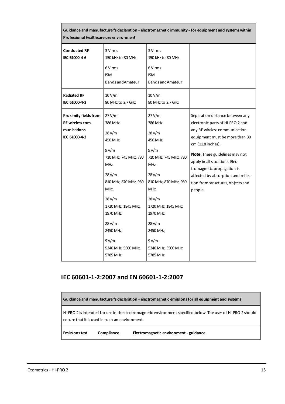| Guidance and manufacturer's declaration - electromagnetic immunity - for equipment and systems within<br>Professional Healthcare use environment |                                                                                                                                                                                                                                                  |                                                                                                                                                                                                                                                     |                                                                                                                                                                                                                                                                                                                                                     |
|--------------------------------------------------------------------------------------------------------------------------------------------------|--------------------------------------------------------------------------------------------------------------------------------------------------------------------------------------------------------------------------------------------------|-----------------------------------------------------------------------------------------------------------------------------------------------------------------------------------------------------------------------------------------------------|-----------------------------------------------------------------------------------------------------------------------------------------------------------------------------------------------------------------------------------------------------------------------------------------------------------------------------------------------------|
| <b>Conducted RF</b><br>IEC 61000-4-6                                                                                                             | 3 V rms<br>150 kHz to 80 MHz<br>6 V rms<br><b>ISM</b><br>Bands and Amateur                                                                                                                                                                       | 3 V rms<br>150 kHz to 80 MHz<br>6 V rms<br><b>ISM</b><br>Bands and Amateur                                                                                                                                                                          |                                                                                                                                                                                                                                                                                                                                                     |
| <b>Radiated RF</b><br>IEC 61000-4-3                                                                                                              | 10 V/m<br>80 MHz to 2.7 GHz                                                                                                                                                                                                                      | 10V/m<br>80 MHz to 2.7 GHz                                                                                                                                                                                                                          |                                                                                                                                                                                                                                                                                                                                                     |
| <b>Proximity fields from</b><br>RF wireless com-<br>munications<br>IEC 61000-4-3                                                                 | 27 V/m<br>386 MHz<br>28 v/m<br>450 MHz,<br>9v/m<br>710 MHz, 745 MHz, 780<br><b>MHz</b><br>28 v/m<br>810 MHz, 870 MHz, 930<br>MHz,<br>28 v/m<br>1720 MHz, 1845 MHz,<br>1970 MHz<br>28 v/m<br>2450 MHz,<br>9v/m<br>5240 MHz, 5500 MHz,<br>5785 MHz | $27$ V/m<br>386 MHz<br>28 v/m<br>450 MHz,<br>9 v/m<br>710 MHz, 745 MHz, 780<br><b>MHz</b><br>28 v/m<br>810 MHz, 870 MHz, 930<br>MHz,<br>28 v/m<br>1720 MHz, 1845 MHz,<br>1970 MHz<br>28 v/m<br>2450 MHz,<br>9v/m<br>5240 MHz, 5500 MHz,<br>5785 MHz | Separation distance between any<br>electronic parts of HI-PRO 2 and<br>any RF wireless communication<br>equipment must be more than 30<br>cm (11.8 inches).<br>Note: These guidelines may not<br>apply in all situations. Elec-<br>tromagnetic propagation is<br>affected by absorption and reflec-<br>tion from structures, objects and<br>people. |

#### **IEC 60601-1-2:2007 and EN 60601-1-2:2007**

| Guidance and manufacturer's declaration - electromagnetic emissions for all equipment and systems |                                                |                                                                                                              |
|---------------------------------------------------------------------------------------------------|------------------------------------------------|--------------------------------------------------------------------------------------------------------------|
|                                                                                                   | ensure that it is used in such an environment. | HI-PRO 2 is intended for use in the electromagnetic environment specified below. The user of HI-PRO 2 should |
| <b>Emissions test</b>                                                                             | Compliance                                     | Electromagnetic environment - guidance                                                                       |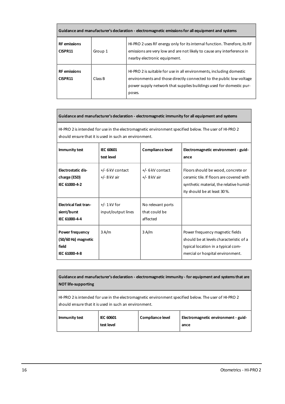| Guidance and manufacturer's declaration - electromagnetic emissions for all equipment and systems |         |                                                                                                                                                                                                                              |  |
|---------------------------------------------------------------------------------------------------|---------|------------------------------------------------------------------------------------------------------------------------------------------------------------------------------------------------------------------------------|--|
| <b>RF</b> emissions<br>CISPR11                                                                    | Group 1 | HI-PRO 2 uses RF energy only for its internal function. Therefore, its RF<br>emissions are very low and are not likely to cause any interference in<br>nearby electronic equipment.                                          |  |
| <b>RF</b> emissions<br>CISPR11                                                                    | Class B | HI-PRO 2 is suitable for use in all environments, including domestic<br>environments and those directly connected to the public low-voltage<br>power supply network that supplies buildings used for domestic pur-<br>poses. |  |

#### **Guidance and manufacturer's declaration - electromagnetic immunity for all equipment and systems**

HI-PRO 2 is intended for use in the electromagnetic environment specified below. The user of HI-PRO 2 should ensure that it is used in such an environment.

| Immunity test                                                    | <b>IEC 60601</b><br>test level       | Compliance level                               | Electromagnetic environment - guid-<br>ance                                                                                                              |
|------------------------------------------------------------------|--------------------------------------|------------------------------------------------|----------------------------------------------------------------------------------------------------------------------------------------------------------|
| Electrostatic dis-<br>charge (ESD)<br>IEC 61000-4-2              | +/- 6 kV contact<br>+/- 8 kV air     | +/- 6 kV contact<br>+/- 8 kV air               | Floors should be wood, concrete or<br>ceramic tile. If floors are covered with<br>synthetic material, the relative humid-<br>ity should be at least 30%. |
| <b>Electrical fast tran-</b><br>sient/burst<br>IEC 61000-4-4     | $+/- 1$ kV for<br>input/output lines | No relevant ports<br>that could be<br>affected |                                                                                                                                                          |
| Power frequency<br>(50/60 Hz) magnetic<br>field<br>IEC 61000-4-8 | 3 A/m                                | 3A/m                                           | Power frequency magnetic fields<br>should be at levels characteristic of a<br>typical location in a typical com-<br>mercial or hospital environment.     |

**Guidance and manufacturer's declaration - electromagnetic immunity - for equipment and systemsthat are NOT life-supporting**

HI-PRO 2 isintended for use in the electromagnetic environment specified below. The user of HI-PRO 2 should ensure that it is used in such an environment.

| Immunity test | <b>IEC 60601</b> | Compliance level | Electromagnetic environment - guid- |
|---------------|------------------|------------------|-------------------------------------|
|               | test level       |                  | ance                                |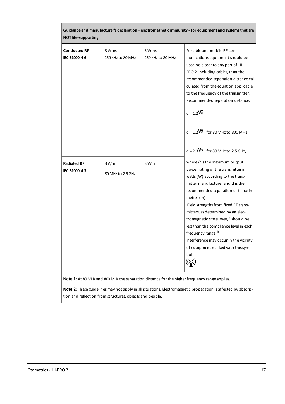| <b>NOT life-supporting</b>           |                             |                             | Guidance and manufacturer's declaration - electromagnetic immunity - for equipment and systems that are                                                                                                                                                                                                                                                                                                                                                                                                                                                                                    |
|--------------------------------------|-----------------------------|-----------------------------|--------------------------------------------------------------------------------------------------------------------------------------------------------------------------------------------------------------------------------------------------------------------------------------------------------------------------------------------------------------------------------------------------------------------------------------------------------------------------------------------------------------------------------------------------------------------------------------------|
| <b>Conducted RF</b><br>IEC 61000-4-6 | 3 Vrms<br>150 kHz to 80 MHz | 3 Vrms<br>150 kHz to 80 MHz | Portable and mobile RF com-<br>munications equipment should be<br>used no closer to any part of HI-<br>PRO 2, including cables, than the<br>recommended separation distance cal-<br>culated from the equation applicable<br>to the frequency of the transmitter.<br>Recommended separation distance:<br>$d = 1.2\sqrt{P}$<br>$d = 1.2\overline{VP}$ for 80 MHz to 800 MHz                                                                                                                                                                                                                  |
| <b>Radiated RF</b><br>IEC 61000-4-3  | 3V/m<br>80 MHz to 2.5 GHz   | 3V/m                        | $d = 2.3\sqrt{P}$ for 80 MHz to 2.5 GHz,<br>where $P$ is the maximum output<br>power rating of the transmitter in<br>watts (W) according to the trans-<br>mitter manufacturer and d is the<br>recommended separation distance in<br>metres (m).<br>Field strengths from fixed RF trans-<br>mitters, as determined by an elec-<br>tromagnetic site survey, <sup>a</sup> should be<br>less than the compliance level in each<br>frequency range. <sup>b</sup><br>Interference may occur in the vicinity<br>of equipment marked with this sym-<br>bol:<br>$\big((\mathbf{r},\mathbf{r})\big)$ |

**Note 2**: These guidelines may not apply in all situations. Electromagnetic propagation is affected by absorption and reflection from structures, objects and people.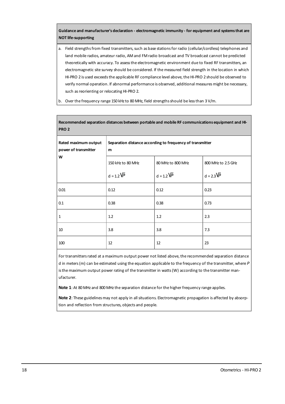#### **Guidance and manufacturer's declaration - electromagnetic immunity - for equipment and systemsthat are NOT life-supporting**

- a. Field strengths from fixed transmitters, such as base stations for radio (cellular/cordless) telephones and land mobile radios, amateur radio, AM and FM radio broadcast and TV broadcast cannot be predicted theoretically with accuracy. To assessthe electromagnetic environment due to fixed RF transmitters, an electromagnetic site survey should be considered. If the measured field strength in the location in which HI-PRO 2 is used exceeds the applicable RF compliance level above, the HI-PRO 2 should be observed to verify normal operation. If abnormal performance is observed, additional measures might be necessary, such asreorienting or relocating HI-PRO 2.
- b. Over the frequency range 150 kHz to 80 MHz, field strengths should be less than 3 V/m.

| PRO <sub>2</sub>                             |                                                                |                         |                    |  |
|----------------------------------------------|----------------------------------------------------------------|-------------------------|--------------------|--|
| Rated maximum output<br>power of transmitter | Separation distance according to frequency of transmitter<br>m |                         |                    |  |
| W                                            | 150 kHz to 80 MHz                                              | 80 MHz to 800 MHz       | 800 MHz to 2.5 GHz |  |
|                                              | $d = 1.2 \overline{VP}$                                        | $d = 1.2 \overline{VP}$ | $d = 2.3\sqrt{P}$  |  |
| 0.01                                         | 0.12                                                           | 0.12                    | 0.23               |  |
| 0.1                                          | 0.38                                                           | 0.38                    | 0.73               |  |
| $\mathbf{1}$                                 | 1.2                                                            | 1.2                     | 2.3                |  |
| 10                                           | 3.8                                                            | 3.8                     | 7.3                |  |
| 100                                          | 12                                                             | 12                      | 23                 |  |

**Recommended separation distances between portable and mobile RF communications equipment and HI-**

For transmittersrated at a maximum output power not listed above, the recommended separation distance d in meters(m) can be estimated using the equation applicable to the frequency of the transmitter, where *P* isthe maximum output power rating of the transmitter in watts(W) according to the transmitter manufacturer.

Note 1: At 80 MHz and 800 MHz the separation distance for the higher frequency range applies.

**Note 2**: These guidelines may not apply in all situations. Electromagnetic propagation is affected by absorption and reflection from structures, objects and people.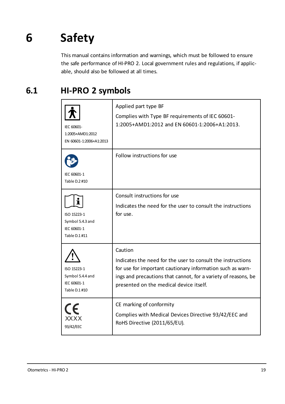# **6 Safety**

<span id="page-18-0"></span>This manual contains information and warnings, which must be followed to ensure the safe performance of HI-PRO 2. Local government rules and regulations, if applicable, should also be followed at all times.

## **6.1 HI-PRO 2 symbols**

| IEC 60601-<br>1:2005+AMD1:2012<br>EN 60601-1:2006+A1:2013            | Applied part type BF<br>Complies with Type BF requirements of IEC 60601-<br>1:2005+AMD1:2012 and EN 60601-1:2006+A1:2013.                                                                                                                         |
|----------------------------------------------------------------------|---------------------------------------------------------------------------------------------------------------------------------------------------------------------------------------------------------------------------------------------------|
| IEC 60601-1<br>Table D.2 #10                                         | Follow instructions for use                                                                                                                                                                                                                       |
| П<br>ISO 15223-1<br>Symbol 5.4.3 and<br>IFC 60601-1<br>Table D.1 #11 | Consult instructions for use<br>Indicates the need for the user to consult the instructions<br>for use.                                                                                                                                           |
| ISO 15223-1<br>Symbol 5.4.4 and<br>IEC 60601-1<br>Table D.1 #10      | Caution<br>Indicates the need for the user to consult the instructions<br>for use for important cautionary information such as warn-<br>ings and precautions that cannot, for a variety of reasons, be<br>presented on the medical device itself. |
| XXXX<br>93/42/EEC                                                    | CE marking of conformity<br>Complies with Medical Devices Directive 93/42/EEC and<br>RoHS Directive (2011/65/EU).                                                                                                                                 |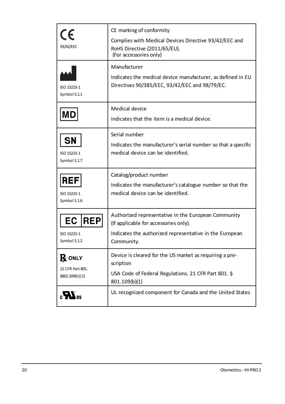| CE<br>93/42/EEC                                      | CE marking of conformity<br>Complies with Medical Devices Directive 93/42/EEC and<br>RoHS Directive (2011/65/EU).<br>(For accessories only)                           |
|------------------------------------------------------|-----------------------------------------------------------------------------------------------------------------------------------------------------------------------|
| ISO 15223-1<br>Symbol 5.1.1                          | Manufacturer<br>Indicates the medical device manufacturer, as defined in EU<br>Directives 90/385/EEC, 93/42/EEC and 98/79/EC.                                         |
| MЕ                                                   | Medical device<br>Indicates that the item is a medical device.                                                                                                        |
| <b>SN</b><br>ISO 15223-1<br>Symbol 5.1.7             | Serial number<br>Indicates the manufacturer's serial number so that a specific<br>medical device can be identified.                                                   |
| <b>REF</b><br>ISO 15223-1<br>Symbol 5.1.6            | Catalog/product number<br>Indicates the manufacturer's catalogue number so that the<br>medical device can be identified.                                              |
| EC REP<br>ISO 15223-1<br>Symbol 5.1.2                | Authorized representative in the European Community<br>(If applicable for accessories only).<br>Indicates the authorized representative in the European<br>Community. |
| ${\bf R}$ only<br>21 CFR Part 801.<br>§801.109(b)(1) | Device is cleared for the US market as requiring a pre-<br>scription<br>USA Code of Federal Regulations. 21 CFR Part 801. §<br>801.109(b)(1)                          |
|                                                      | UL recognized component for Canada and the United States                                                                                                              |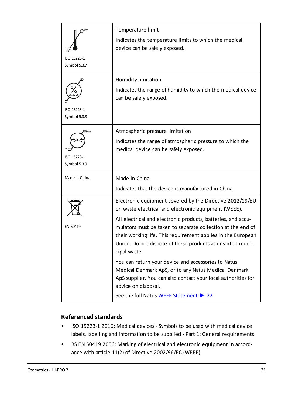| ISO 15223-1<br>Symbol 5.3.7                 | Temperature limit<br>Indicates the temperature limits to which the medical<br>device can be safely exposed.                                                                                                                                                                                                                                                                                                                                                                                                                                                                                                                                   |
|---------------------------------------------|-----------------------------------------------------------------------------------------------------------------------------------------------------------------------------------------------------------------------------------------------------------------------------------------------------------------------------------------------------------------------------------------------------------------------------------------------------------------------------------------------------------------------------------------------------------------------------------------------------------------------------------------------|
| ISO 15223-1<br>Symbol 5.3.8                 | Humidity limitation<br>Indicates the range of humidity to which the medical device<br>can be safely exposed.                                                                                                                                                                                                                                                                                                                                                                                                                                                                                                                                  |
| .<br>DSO NPL<br>ISO 15223-1<br>Symbol 5.3.9 | Atmospheric pressure limitation<br>Indicates the range of atmospheric pressure to which the<br>medical device can be safely exposed.                                                                                                                                                                                                                                                                                                                                                                                                                                                                                                          |
| Made in China                               | Made in China<br>Indicates that the device is manufactured in China.                                                                                                                                                                                                                                                                                                                                                                                                                                                                                                                                                                          |
| FN 50419                                    | Electronic equipment covered by the Directive 2012/19/EU<br>on waste electrical and electronic equipment (WEEE).<br>All electrical and electronic products, batteries, and accu-<br>mulators must be taken to separate collection at the end of<br>their working life. This requirement applies in the European<br>Union. Do not dispose of these products as unsorted muni-<br>cipal waste.<br>You can return your device and accessories to Natus<br>Medical Denmark ApS, or to any Natus Medical Denmark<br>ApS supplier. You can also contact your local authorities for<br>advice on disposal.<br>See the full Natus WEEE Statement ▶ 22 |

#### **Referenced standards**

- ISO 15223-1:2016: Medical devices Symbols to be used with medical device labels, labelling and information to be supplied - Part 1: General requirements
- BS EN 50419:2006: Marking of electrical and electronic equipment in accordance with article 11(2) of Directive 2002/96/EC (WEEE)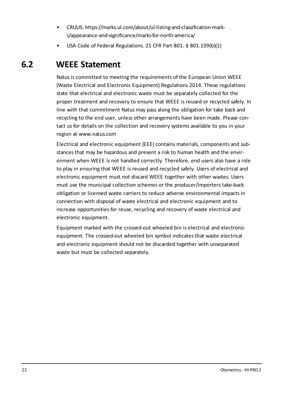- CRUUS: https://marks.ul.com/about/ul-listing-and-classification-marks/appearance-and-significance/marks-for-north-america/
- <span id="page-21-0"></span>• USA Code of Federal Regulations, 21 CFR Part 801, § 801, 109(b)(1)

## **6.2 WEEE Statement**

Natus is committed to meeting the requirements of the European Union WEEE (Waste Electrical and Electronic Equipment) Regulations 2014. These regulations state that electrical and electronic waste must be separately collected for the proper treatment and recovery to ensure that WEEE is reused or recycled safely. In line with that commitment Natus may pass along the obligation for take back and recycling to the end user, unless other arrangements have been made. Please contact us for details on the collection and recovery systems available to you in your region at www.natus.com

Electrical and electronic equipment (EEE) contains materials, components and substances that may be hazardous and present a risk to human health and the environment when WEEE is not handled correctly. Therefore, end users also have a role to play in ensuring that WEEE is reused and recycled safely. Users of electrical and electronic equipment must not discard WEEE together with other wastes. Users must use the municipal collection schemes or the producer/importers take-back obligation or licensed waste carriers to reduce adverse environmental impacts in connection with disposal of waste electrical and electronic equipment and to increase opportunities for reuse, recycling and recovery of waste electrical and electronic equipment.

Equipment marked with the crossed-out wheeled bin is electrical and electronic equipment. The crossed-out wheeled bin symbol indicates that waste electrical and electronic equipment should not be discarded together with unseparated waste but must be collected separately.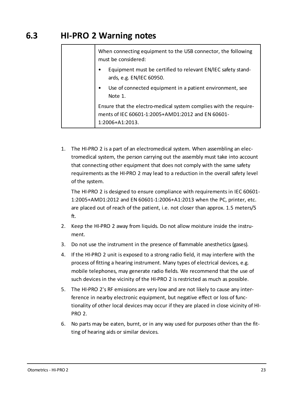## **6.3 HI-PRO 2 Warning notes**

| When connecting equipment to the USB connector, the following<br>must be considered:                                                      |
|-------------------------------------------------------------------------------------------------------------------------------------------|
| Equipment must be certified to relevant EN/IEC safety stand-<br>٠<br>ards, e.g. EN/IEC 60950.                                             |
| Use of connected equipment in a patient environment, see<br>Note 1.                                                                       |
| Ensure that the electro-medical system complies with the require-<br>ments of IEC 60601-1:2005+AMD1:2012 and EN 60601-<br>1:2006+A1:2013. |

1. The HI-PRO 2 is a part of an electromedical system. When assembling an electromedical system, the person carrying out the assembly must take into account that connecting other equipment that does not comply with the same safety requirements as the HI-PRO 2 may lead to a reduction in the overall safety level of the system.

The HI-PRO 2 is designed to ensure compliance with requirements in IEC 60601- 1:2005+AMD1:2012 and EN 60601-1:2006+A1:2013 when the PC, printer, etc. are placed out of reach of the patient, i.e. not closer than approx. 1.5 meters/5 ft.

- 2. Keep the HI-PRO 2 away from liquids. Do not allow moisture inside the instrument.
- 3. Do not use the instrument in the presence of flammable anesthetics (gases).
- 4. If the HI-PRO 2 unit is exposed to a strong radio field, it may interfere with the process of fitting a hearing instrument. Many types of electrical devices, e.g. mobile telephones, may generate radio fields. We recommend that the use of such devices in the vicinity of the HI-PRO 2 is restricted as much as possible.
- 5. The HI-PRO 2's RF emissions are very low and are not likely to cause any interference in nearby electronic equipment, but negative effect or loss of functionality of other local devices may occur if they are placed in close vicinity of HI-PRO 2.
- 6. No parts may be eaten, burnt, or in any way used for purposes other than the fitting of hearing aids or similar devices.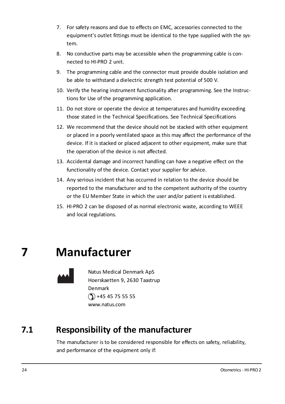- 7. For safety reasons and due to effects on EMC, accessories connected to the equipment's outlet fittings must be identical to the type supplied with the system.
- 8. No conductive parts may be accessible when the programming cable is connected to HI-PRO 2 unit.
- 9. The programming cable and the connector must provide double isolation and be able to withstand a dielectric strength test potential of 500 V.
- 10. Verify the hearing instrument functionality after programming. See the Instructions for Use of the programming application.
- 11. Do not store or operate the device at temperatures and humidity exceeding those stated in the Technical Specifications. See Technical Specifications
- 12. We recommend that the device should not be stacked with other equipment or placed in a poorly ventilated space as this may affect the performance of the device. If it is stacked or placed adjacent to other equipment, make sure that the operation of the device is not affected.
- 13. Accidental damage and incorrect handling can have a negative effect on the functionality of the device. Contact your supplier for advice.
- 14. Any serious incident that has occurred in relation to the device should be reported to the manufacturer and to the competent authority of the country or the EU Member State in which the user and/or patient is established.
- <span id="page-23-0"></span>15. HI-PRO 2 can be disposed of as normal electronic waste, according to WEEE and local regulations.

## **7 Manufacturer**



Natus Medical Denmark ApS Hoerskaetten 9, 2630 Taastrup Denmark  $($ 1) +45 45 75 55 55 www.natus.com

## **7.1 Responsibility of the manufacturer**

The manufacturer is to be considered responsible for effects on safety, reliability, and performance of the equipment only if: